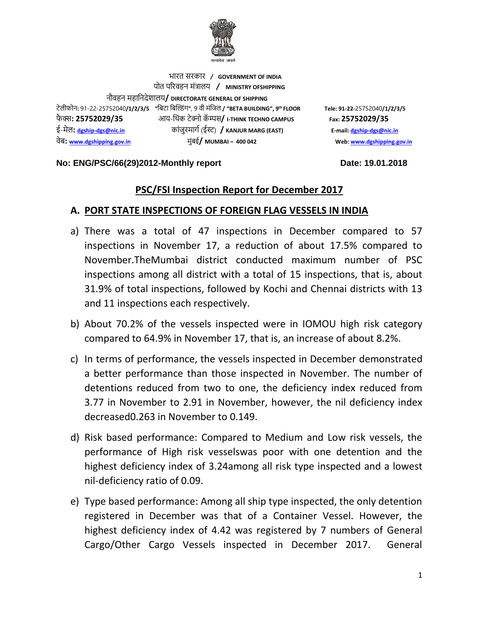

भारत सरकार **/ GOVERNMENT OF INDIA** पोत पररवहन मंत्रालय **/ MINISTRY OFSHIPPING** नौवहन महाननदेशालय**/ DIRECTORATE GENERAL OF SHIPPING** टेलीफोन**:** 91-22-25752040**/1/2/3/5 "**निटा निल्डंग**"**, 9 वी मंनिल **/ "BETA BUILDING", 9** फै क् स**: 25752029/35** आय-न ंक टेक् नो कॅ म् पस**/ I-THINK TECHNO CAMPUS Fax: 25752029/35** ई-मेल**: [dgship-dgs@nic.in](mailto:dgship-dgs@nic.in)** कांिुरमागग (ईस् ट) **/ KANJUR MARG (EAST) E-mail[: dgship-dgs@nic.in](mailto:dgship-dgs@nic.in)** वेि**: [www.dgshipping.gov.in](http://www.dgshipping.gov.in/)** मुंिई**/ MUMBAI – 400 042 Web[: www.dgshipping.gov.in](http://www.dgshipping.gov.in/)**

**th FLOOR Tele: 91-22-**25752040**/1/2/3/5** 

#### No: ENG/PSC/66(29)2012-Monthly report Date: 19.01.2018

### **PSC/FSI Inspection Report for December 2017**

#### **A. PORT STATE INSPECTIONS OF FOREIGN FLAG VESSELS IN INDIA**

- a) There was a total of 47 inspections in December compared to 57 inspections in November 17, a reduction of about 17.5% compared to November.TheMumbai district conducted maximum number of PSC inspections among all district with a total of 15 inspections, that is, about 31.9% of total inspections, followed by Kochi and Chennai districts with 13 and 11 inspections each respectively.
- b) About 70.2% of the vessels inspected were in IOMOU high risk category compared to 64.9% in November 17, that is, an increase of about 8.2%.
- c) In terms of performance, the vessels inspected in December demonstrated a better performance than those inspected in November. The number of detentions reduced from two to one, the deficiency index reduced from 3.77 in November to 2.91 in November, however, the nil deficiency index decreased0.263 in November to 0.149.
- d) Risk based performance: Compared to Medium and Low risk vessels, the performance of High risk vesselswas poor with one detention and the highest deficiency index of 3.24among all risk type inspected and a lowest nil-deficiency ratio of 0.09.
- e) Type based performance: Among all ship type inspected, the only detention registered in December was that of a Container Vessel. However, the highest deficiency index of 4.42 was registered by 7 numbers of General Cargo/Other Cargo Vessels inspected in December 2017. General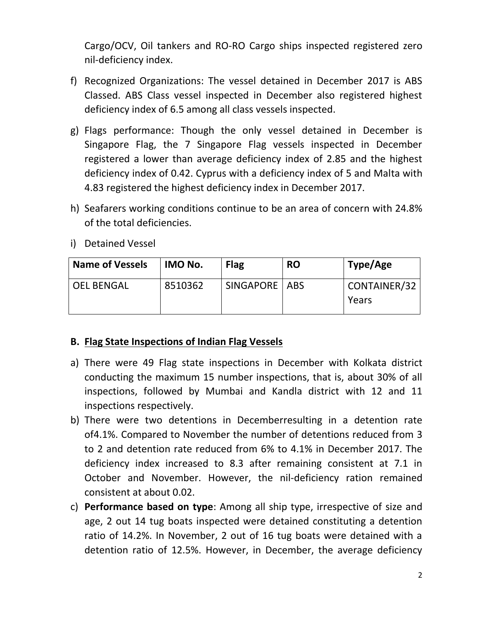Cargo/OCV, Oil tankers and RO-RO Cargo ships inspected registered zero nil-deficiency index.

- f) Recognized Organizations: The vessel detained in December 2017 is ABS Classed. ABS Class vessel inspected in December also registered highest deficiency index of 6.5 among all class vessels inspected.
- g) Flags performance: Though the only vessel detained in December is Singapore Flag, the 7 Singapore Flag vessels inspected in December registered a lower than average deficiency index of 2.85 and the highest deficiency index of 0.42. Cyprus with a deficiency index of 5 and Malta with 4.83 registered the highest deficiency index in December 2017.
- h) Seafarers working conditions continue to be an area of concern with 24.8% of the total deficiencies.
- i) Detained Vessel

| <b>Name of Vessels</b> | IMO No. | <b>Flag</b>     | <b>RO</b> | Type/Age              |
|------------------------|---------|-----------------|-----------|-----------------------|
| <b>OEL BENGAL</b>      | 8510362 | SINGAPORE   ABS |           | CONTAINER/32<br>Years |

### **B. Flag State Inspections of Indian Flag Vessels**

- a) There were 49 Flag state inspections in December with Kolkata district conducting the maximum 15 number inspections, that is, about 30% of all inspections, followed by Mumbai and Kandla district with 12 and 11 inspections respectively.
- b) There were two detentions in Decemberresulting in a detention rate of4.1%. Compared to November the number of detentions reduced from 3 to 2 and detention rate reduced from 6% to 4.1% in December 2017. The deficiency index increased to 8.3 after remaining consistent at 7.1 in October and November. However, the nil-deficiency ration remained consistent at about 0.02.
- c) **Performance based on type**: Among all ship type, irrespective of size and age, 2 out 14 tug boats inspected were detained constituting a detention ratio of 14.2%. In November, 2 out of 16 tug boats were detained with a detention ratio of 12.5%. However, in December, the average deficiency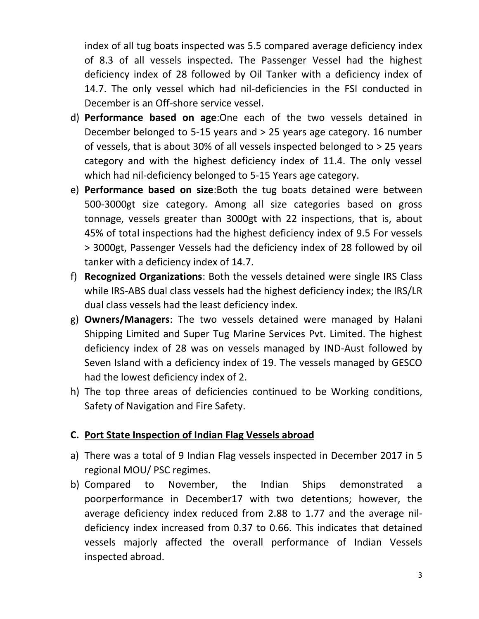index of all tug boats inspected was 5.5 compared average deficiency index of 8.3 of all vessels inspected. The Passenger Vessel had the highest deficiency index of 28 followed by Oil Tanker with a deficiency index of 14.7. The only vessel which had nil-deficiencies in the FSI conducted in December is an Off-shore service vessel.

- d) **Performance based on age**:One each of the two vessels detained in December belonged to 5-15 years and > 25 years age category. 16 number of vessels, that is about 30% of all vessels inspected belonged to > 25 years category and with the highest deficiency index of 11.4. The only vessel which had nil-deficiency belonged to 5-15 Years age category.
- e) **Performance based on size**:Both the tug boats detained were between 500-3000gt size category. Among all size categories based on gross tonnage, vessels greater than 3000gt with 22 inspections, that is, about 45% of total inspections had the highest deficiency index of 9.5 For vessels > 3000gt, Passenger Vessels had the deficiency index of 28 followed by oil tanker with a deficiency index of 14.7.
- f) **Recognized Organizations**: Both the vessels detained were single IRS Class while IRS-ABS dual class vessels had the highest deficiency index; the IRS/LR dual class vessels had the least deficiency index.
- g) **Owners/Managers**: The two vessels detained were managed by Halani Shipping Limited and Super Tug Marine Services Pvt. Limited. The highest deficiency index of 28 was on vessels managed by IND-Aust followed by Seven Island with a deficiency index of 19. The vessels managed by GESCO had the lowest deficiency index of 2.
- h) The top three areas of deficiencies continued to be Working conditions, Safety of Navigation and Fire Safety.

# **C. Port State Inspection of Indian Flag Vessels abroad**

- a) There was a total of 9 Indian Flag vessels inspected in December 2017 in 5 regional MOU/ PSC regimes.
- b) Compared to November, the Indian Ships demonstrated a poorperformance in December17 with two detentions; however, the average deficiency index reduced from 2.88 to 1.77 and the average nildeficiency index increased from 0.37 to 0.66. This indicates that detained vessels majorly affected the overall performance of Indian Vessels inspected abroad.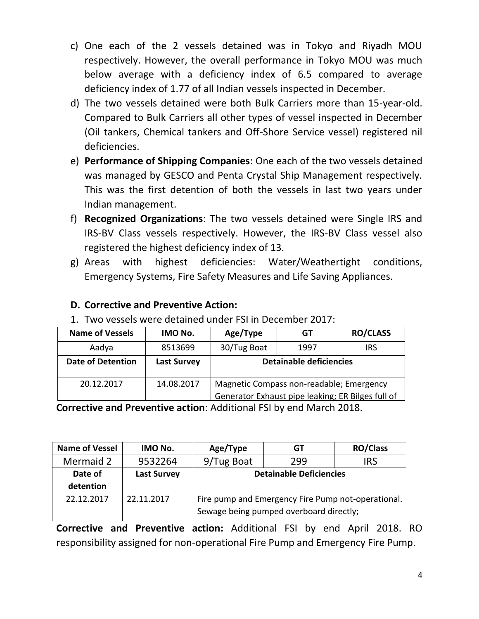- c) One each of the 2 vessels detained was in Tokyo and Riyadh MOU respectively. However, the overall performance in Tokyo MOU was much below average with a deficiency index of 6.5 compared to average deficiency index of 1.77 of all Indian vessels inspected in December.
- d) The two vessels detained were both Bulk Carriers more than 15-year-old. Compared to Bulk Carriers all other types of vessel inspected in December (Oil tankers, Chemical tankers and Off-Shore Service vessel) registered nil deficiencies.
- e) **Performance of Shipping Companies**: One each of the two vessels detained was managed by GESCO and Penta Crystal Ship Management respectively. This was the first detention of both the vessels in last two years under Indian management.
- f) **Recognized Organizations**: The two vessels detained were Single IRS and IRS-BV Class vessels respectively. However, the IRS-BV Class vessel also registered the highest deficiency index of 13.
- g) Areas with highest deficiencies: Water/Weathertight conditions, Emergency Systems, Fire Safety Measures and Life Saving Appliances.

# **D. Corrective and Preventive Action:**

1. Two vessels were detained under FSI in December 2017:

| <b>Name of Vessels</b>   | IMO No.            | Age/Type                                                                                      | GТ             | <b>RO/CLASS</b> |
|--------------------------|--------------------|-----------------------------------------------------------------------------------------------|----------------|-----------------|
| Aadya                    | 8513699            | 30/Tug Boat                                                                                   | 1997           | <b>IRS</b>      |
| <b>Date of Detention</b> | <b>Last Survey</b> | <b>Detainable deficiencies</b>                                                                |                |                 |
| 20.12.2017               | 14.08.2017         | Magnetic Compass non-readable; Emergency<br>Generator Exhaust pipe leaking; ER Bilges full of |                |                 |
| . .                      | - -                | .                                                                                             | $\overline{1}$ |                 |

**Corrective and Preventive action: Additional FSI by end March 2018.** 

| <b>Name of Vessel</b> | IMO No.            | Age/Type                                           | GT                             | <b>RO/Class</b> |
|-----------------------|--------------------|----------------------------------------------------|--------------------------------|-----------------|
| Mermaid 2             | 9532264            | 9/Tug Boat                                         | 299                            | <b>IRS</b>      |
| Date of               | <b>Last Survey</b> |                                                    | <b>Detainable Deficiencies</b> |                 |
| detention             |                    |                                                    |                                |                 |
| 22.12.2017            | 22.11.2017         | Fire pump and Emergency Fire Pump not-operational. |                                |                 |
|                       |                    | Sewage being pumped overboard directly;            |                                |                 |

**Corrective and Preventive action:** Additional FSI by end April 2018. RO responsibility assigned for non-operational Fire Pump and Emergency Fire Pump.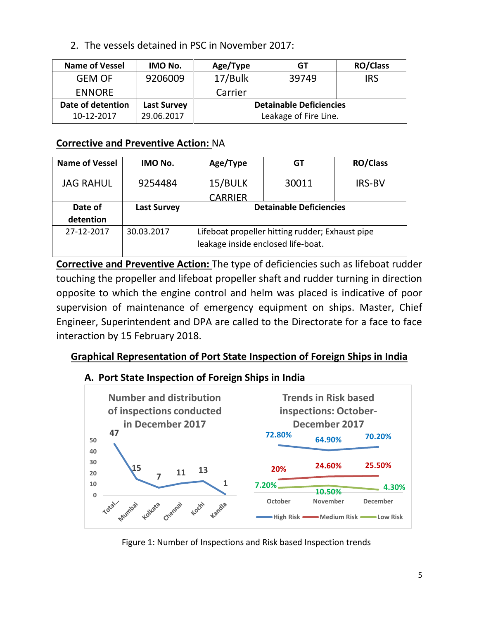2. The vessels detained in PSC in November 2017:

| <b>Name of Vessel</b> | IMO No.            | Age/Type | GT                             | <b>RO/Class</b> |
|-----------------------|--------------------|----------|--------------------------------|-----------------|
| <b>GEM OF</b>         | 9206009            | 17/Bulk  | 39749                          | <b>IRS</b>      |
| <b>ENNORE</b>         |                    | Carrier  |                                |                 |
| Date of detention     | <b>Last Survey</b> |          | <b>Detainable Deficiencies</b> |                 |
| 10-12-2017            | 29.06.2017         |          | Leakage of Fire Line.          |                 |

### **Corrective and Preventive Action:** NA

| <b>Name of Vessel</b> | IMO No.            | Age/Type                                                                              | GТ    | <b>RO/Class</b> |
|-----------------------|--------------------|---------------------------------------------------------------------------------------|-------|-----------------|
| <b>JAG RAHUL</b>      | 9254484            | 15/BULK                                                                               | 30011 | <b>IRS-BV</b>   |
|                       |                    | <b>CARRIER</b>                                                                        |       |                 |
| Date of               | <b>Last Survey</b> | <b>Detainable Deficiencies</b>                                                        |       |                 |
| detention             |                    |                                                                                       |       |                 |
| 27-12-2017            | 30.03.2017         | Lifeboat propeller hitting rudder; Exhaust pipe<br>leakage inside enclosed life-boat. |       |                 |

**Corrective and Preventive Action:** The type of deficiencies such as lifeboat rudder touching the propeller and lifeboat propeller shaft and rudder turning in direction opposite to which the engine control and helm was placed is indicative of poor supervision of maintenance of emergency equipment on ships. Master, Chief Engineer, Superintendent and DPA are called to the Directorate for a face to face interaction by 15 February 2018.

# **Graphical Representation of Port State Inspection of Foreign Ships in India**

# **A. Port State Inspection of Foreign Ships in India**



Figure 1: Number of Inspections and Risk based Inspection trends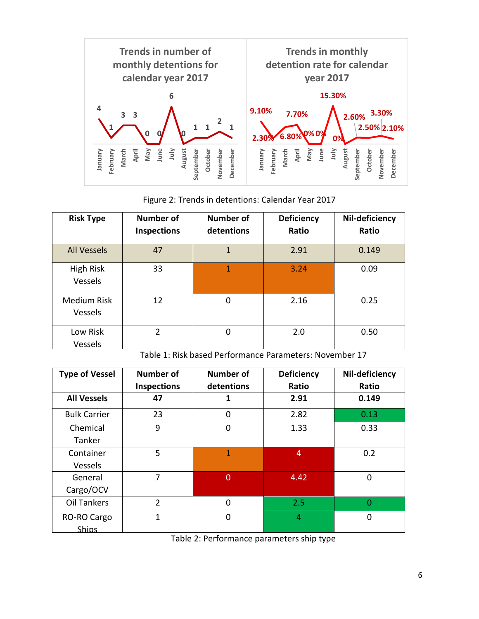

Figure 2: Trends in detentions: Calendar Year 2017

| <b>Risk Type</b>                     | <b>Number of</b><br>Inspections | <b>Number of</b><br>detentions | <b>Deficiency</b><br>Ratio | Nil-deficiency<br>Ratio |
|--------------------------------------|---------------------------------|--------------------------------|----------------------------|-------------------------|
| <b>All Vessels</b>                   | 47                              | 1                              | 2.91                       | 0.149                   |
| High Risk<br>Vessels                 | 33                              | 1                              | 3.24                       | 0.09                    |
| <b>Medium Risk</b><br><b>Vessels</b> | 12                              | 0                              | 2.16                       | 0.25                    |
| Low Risk<br>Vessels                  | 2                               | 0                              | 2.0                        | 0.50                    |

Table 1: Risk based Performance Parameters: November 17

| <b>Type of Vessel</b> | <b>Number of</b><br><b>Inspections</b> | <b>Number of</b><br>detentions | <b>Deficiency</b><br>Ratio | Nil-deficiency<br>Ratio |
|-----------------------|----------------------------------------|--------------------------------|----------------------------|-------------------------|
| <b>All Vessels</b>    | 47                                     | 1                              | 2.91                       | 0.149                   |
| <b>Bulk Carrier</b>   | 23                                     | $\Omega$                       | 2.82                       | 0.13                    |
| Chemical              | 9                                      | $\mathbf 0$                    | 1.33                       | 0.33                    |
| Tanker                |                                        |                                |                            |                         |
| Container             | 5                                      | 1                              | 4                          | 0.2                     |
| Vessels               |                                        |                                |                            |                         |
| General               | 7                                      | 0                              | 4.42                       | 0                       |
| Cargo/OCV             |                                        |                                |                            |                         |
| <b>Oil Tankers</b>    | $\overline{2}$                         | $\Omega$                       | 2.5                        | ი                       |
| RO-RO Cargo           | 1                                      | $\Omega$                       | 4                          | 0                       |
| <b>Ships</b>          |                                        |                                |                            |                         |

Table 2: Performance parameters ship type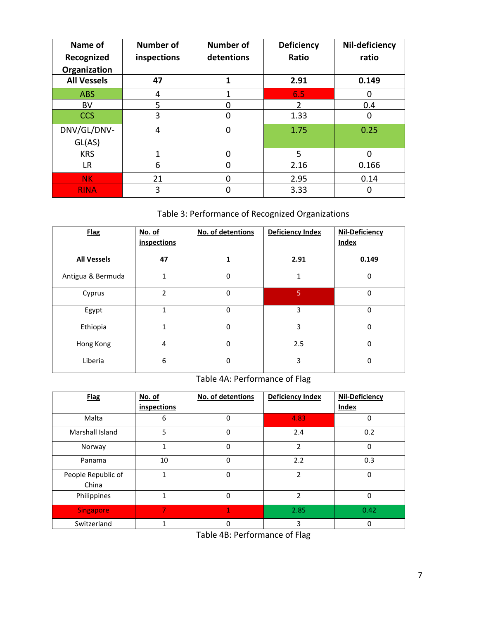| Name of<br>Recognized | <b>Number of</b><br>inspections | <b>Number of</b><br>detentions | <b>Deficiency</b><br>Ratio | Nil-deficiency<br>ratio |
|-----------------------|---------------------------------|--------------------------------|----------------------------|-------------------------|
| Organization          |                                 |                                |                            |                         |
| <b>All Vessels</b>    | 47                              | 1                              | 2.91                       | 0.149                   |
| <b>ABS</b>            | 4                               |                                | 6.5                        | 0                       |
| BV                    | 5                               |                                | 2                          | 0.4                     |
| <b>CCS</b>            | 3                               |                                | 1.33                       | O                       |
| DNV/GL/DNV-           | 4                               | 0                              | 1.75                       | 0.25                    |
| GL(AS)                |                                 |                                |                            |                         |
| <b>KRS</b>            | 1                               | n                              | 5                          | ŋ                       |
| LR.                   | 6                               |                                | 2.16                       | 0.166                   |
| <b>NK</b>             | 21                              |                                | 2.95                       | 0.14                    |
| <b>RINA</b>           | 3                               |                                | 3.33                       |                         |

### Table 3: Performance of Recognized Organizations

| <b>Flag</b>        | No. of<br>inspections | No. of detentions | <b>Deficiency Index</b> | <b>Nil-Deficiency</b><br>Index |
|--------------------|-----------------------|-------------------|-------------------------|--------------------------------|
| <b>All Vessels</b> | 47                    | 1                 | 2.91                    | 0.149                          |
| Antigua & Bermuda  | $\mathbf{1}$          | 0                 | 1                       | 0                              |
| Cyprus             | $\mathfrak{p}$        | 0                 | 5                       | $\Omega$                       |
| Egypt              | $\mathbf{1}$          | 0                 | 3                       | 0                              |
| Ethiopia           | 1                     | 0                 | 3                       | 0                              |
| Hong Kong          | 4                     | $\Omega$          | 2.5                     | 0                              |
| Liberia            | 6                     | $\mathbf 0$       | 3                       | 0                              |

### Table 4A: Performance of Flag

| <b>Flag</b>                 | No. of       | No. of detentions | <b>Deficiency Index</b> | Nil-Deficiency |
|-----------------------------|--------------|-------------------|-------------------------|----------------|
|                             | inspections  |                   |                         | <b>Index</b>   |
| Malta                       | 6            | 0                 | 4.83                    | 0              |
| Marshall Island             | 5            | 0                 | 2.4                     | 0.2            |
| Norway                      | 1            | 0                 | $\overline{2}$          | 0              |
| Panama                      | 10           | 0                 | 2.2                     | 0.3            |
| People Republic of<br>China | 1            | 0                 | $\mathfrak{p}$          | 0              |
| Philippines                 | $\mathbf{1}$ | 0                 | $\overline{2}$          | 0              |
| <b>Singapore</b>            | T.           | 1                 | 2.85                    | 0.42           |
| Switzerland                 | 1            | 0                 | 3                       | 0              |

Table 4B: Performance of Flag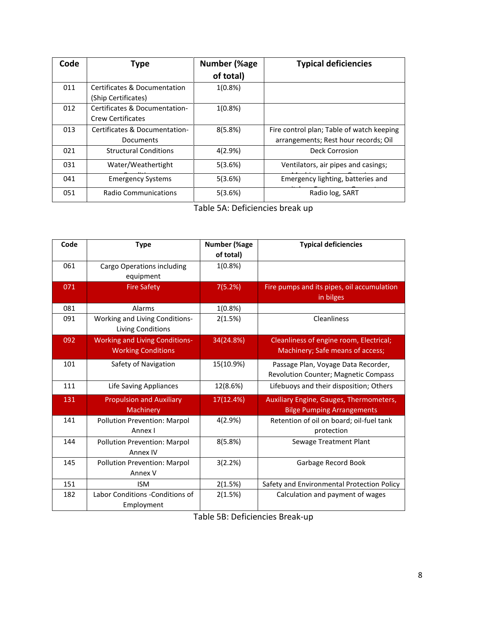| Code | <b>Type</b>                                               | Number (%age | <b>Typical deficiencies</b>               |
|------|-----------------------------------------------------------|--------------|-------------------------------------------|
|      |                                                           | of total)    |                                           |
| 011  | Certificates & Documentation<br>(Ship Certificates)       | $1(0.8\%)$   |                                           |
| 012  | Certificates & Documentation-<br><b>Crew Certificates</b> | $1(0.8\%)$   |                                           |
| 013  | Certificates & Documentation-                             | 8(5.8%)      | Fire control plan; Table of watch keeping |
|      | Documents                                                 |              | arrangements; Rest hour records; Oil      |
| 021  | <b>Structural Conditions</b>                              | 4(2.9%)      | Deck Corrosion                            |
| 031  | Water/Weathertight                                        | 5(3.6%)      | Ventilators, air pipes and casings;       |
| 041  | <b>Emergency Systems</b>                                  | 5(3.6%)      | Emergency lighting, batteries and         |
| 051  | Radio Communications                                      | 5(3.6%)      | Radio log, SART                           |

Table 5A: Deficiencies break up

| Code | <b>Type</b>                                         | <b>Number (%age</b> | <b>Typical deficiencies</b>                             |
|------|-----------------------------------------------------|---------------------|---------------------------------------------------------|
|      |                                                     | of total)           |                                                         |
| 061  | Cargo Operations including                          | 1(0.8%)             |                                                         |
|      | equipment                                           |                     |                                                         |
| 071  | <b>Fire Safety</b>                                  | 7(5.2%)             | Fire pumps and its pipes, oil accumulation<br>in bilges |
| 081  | <b>Alarms</b>                                       | $1(0.8\%)$          |                                                         |
| 091  | Working and Living Conditions-<br>Living Conditions | 2(1.5%)             | Cleanliness                                             |
| 092  | <b>Working and Living Conditions-</b>               | 34(24.8%)           | Cleanliness of engine room, Electrical;                 |
|      | <b>Working Conditions</b>                           |                     | Machinery; Safe means of access;                        |
| 101  | Safety of Navigation                                | 15(10.9%)           | Passage Plan, Voyage Data Recorder,                     |
|      |                                                     |                     | <b>Revolution Counter; Magnetic Compass</b>             |
| 111  | <b>Life Saving Appliances</b>                       | 12(8.6%)            | Lifebuoys and their disposition; Others                 |
| 131  | <b>Propulsion and Auxiliary</b>                     | 17(12.4%)           | Auxiliary Engine, Gauges, Thermometers,                 |
|      | Machinery                                           |                     | <b>Bilge Pumping Arrangements</b>                       |
| 141  | <b>Pollution Prevention: Marpol</b>                 | 4(2.9%)             | Retention of oil on board; oil-fuel tank                |
|      | Annex I                                             |                     | protection                                              |
| 144  | Pollution Prevention: Marpol                        | 8(5.8%)             | Sewage Treatment Plant                                  |
|      | Annex IV                                            |                     |                                                         |
| 145  | Pollution Prevention: Marpol                        | 3(2.2%)             | Garbage Record Book                                     |
|      | Annex V                                             |                     |                                                         |
| 151  | <b>ISM</b>                                          | 2(1.5%)             | Safety and Environmental Protection Policy              |
| 182  | Labor Conditions -Conditions of                     | 2(1.5%)             | Calculation and payment of wages                        |
|      | Employment                                          |                     |                                                         |

Table 5B: Deficiencies Break-up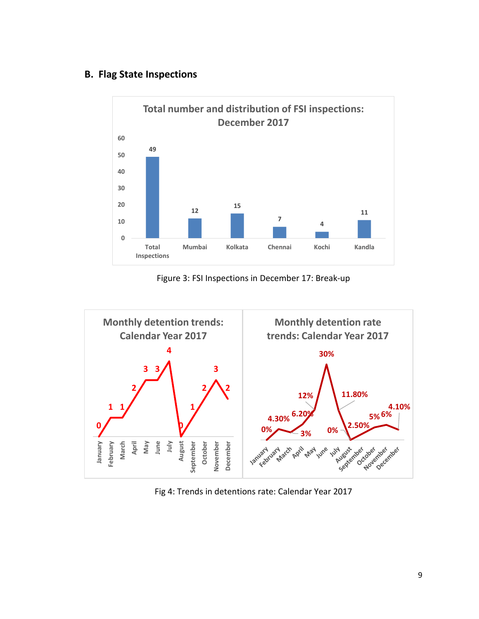### **B. Flag State Inspections**



Figure 3: FSI Inspections in December 17: Break-up



Fig 4: Trends in detentions rate: Calendar Year 2017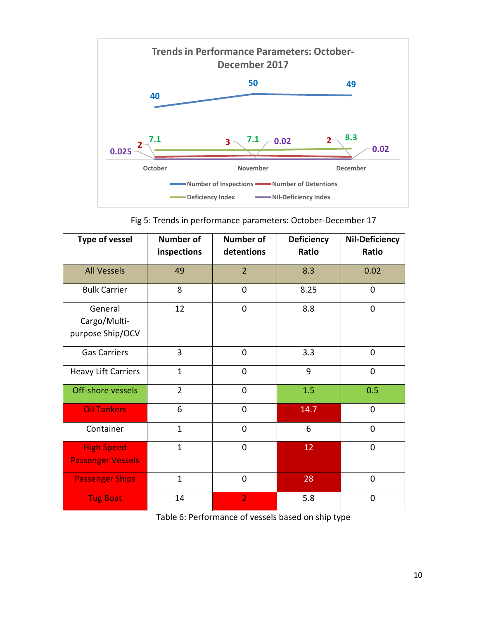

Fig 5: Trends in performance parameters: October-December 17

| <b>Type of vessel</b>                         | <b>Number of</b><br>inspections | <b>Number of</b><br>detentions | <b>Deficiency</b><br>Ratio | <b>Nil-Deficiency</b><br>Ratio |
|-----------------------------------------------|---------------------------------|--------------------------------|----------------------------|--------------------------------|
| <b>All Vessels</b>                            | 49                              | $\overline{2}$                 | 8.3                        | 0.02                           |
| <b>Bulk Carrier</b>                           | 8                               | 0                              | 8.25                       | $\mathbf 0$                    |
| General<br>Cargo/Multi-<br>purpose Ship/OCV   | 12                              | 0                              | 8.8                        | $\mathbf 0$                    |
| <b>Gas Carriers</b>                           | 3                               | 0                              | 3.3                        | $\mathbf 0$                    |
| <b>Heavy Lift Carriers</b>                    | $\mathbf{1}$                    | $\overline{0}$                 | 9                          | 0                              |
| Off-shore vessels                             | $\overline{2}$                  | 0                              | 1.5                        | 0.5                            |
| <b>Oil Tankers</b>                            | 6                               | 0                              | 14.7                       | $\mathbf 0$                    |
| Container                                     | $\mathbf{1}$                    | 0                              | 6                          | $\mathbf 0$                    |
| <b>High Speed</b><br><b>Passenger Vessels</b> | $\mathbf{1}$                    | 0                              | 12                         | 0                              |
| <b>Passenger Ships</b>                        | $\mathbf{1}$                    | 0                              | 28                         | $\mathbf 0$                    |
| <b>Tug Boat</b>                               | 14                              | $\overline{2}$                 | 5.8                        | 0                              |

Table 6: Performance of vessels based on ship type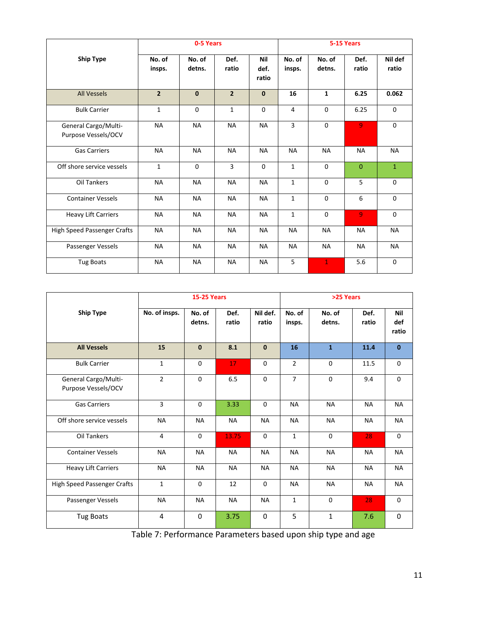|                                             |                  | 0-5 Years        |                |                      |                  |                  | 5-15 Years     |                  |
|---------------------------------------------|------------------|------------------|----------------|----------------------|------------------|------------------|----------------|------------------|
| <b>Ship Type</b>                            | No. of<br>insps. | No. of<br>detns. | Def.<br>ratio  | Nil<br>def.<br>ratio | No. of<br>insps. | No. of<br>detns. | Def.<br>ratio  | Nil def<br>ratio |
| <b>All Vessels</b>                          | $\overline{2}$   | $\mathbf{0}$     | $\overline{2}$ | $\mathbf 0$          | 16               | $\mathbf{1}$     | 6.25           | 0.062            |
| <b>Bulk Carrier</b>                         | $\mathbf 1$      | $\Omega$         | $\mathbf{1}$   | 0                    | 4                | $\Omega$         | 6.25           | 0                |
| General Cargo/Multi-<br>Purpose Vessels/OCV | <b>NA</b>        | <b>NA</b>        | <b>NA</b>      | <b>NA</b>            | 3                | $\Omega$         | $\overline{9}$ | $\Omega$         |
| <b>Gas Carriers</b>                         | <b>NA</b>        | <b>NA</b>        | <b>NA</b>      | <b>NA</b>            | <b>NA</b>        | <b>NA</b>        | <b>NA</b>      | <b>NA</b>        |
| Off shore service vessels                   | $\mathbf{1}$     | $\Omega$         | $\overline{3}$ | 0                    | $\mathbf{1}$     | $\Omega$         | $\mathbf{0}$   | $\mathbf{1}$     |
| Oil Tankers                                 | <b>NA</b>        | <b>NA</b>        | <b>NA</b>      | <b>NA</b>            | $\mathbf{1}$     | $\Omega$         | 5              | 0                |
| <b>Container Vessels</b>                    | <b>NA</b>        | <b>NA</b>        | <b>NA</b>      | <b>NA</b>            | $\mathbf{1}$     | $\Omega$         | 6              | $\Omega$         |
| <b>Heavy Lift Carriers</b>                  | <b>NA</b>        | <b>NA</b>        | <b>NA</b>      | <b>NA</b>            | $\mathbf 1$      | $\Omega$         | $\overline{9}$ | $\Omega$         |
| High Speed Passenger Crafts                 | <b>NA</b>        | <b>NA</b>        | <b>NA</b>      | <b>NA</b>            | <b>NA</b>        | <b>NA</b>        | <b>NA</b>      | <b>NA</b>        |
| Passenger Vessels                           | <b>NA</b>        | <b>NA</b>        | <b>NA</b>      | <b>NA</b>            | <b>NA</b>        | <b>NA</b>        | <b>NA</b>      | <b>NA</b>        |
| <b>Tug Boats</b>                            | <b>NA</b>        | <b>NA</b>        | <b>NA</b>      | <b>NA</b>            | 5                | $\mathbf{1}$     | 5.6            | 0                |

|                                             | <b>15-25 Years</b> |                  |               | >25 Years         |                  |                  |               |                     |
|---------------------------------------------|--------------------|------------------|---------------|-------------------|------------------|------------------|---------------|---------------------|
| <b>Ship Type</b>                            | No. of insps.      | No. of<br>detns. | Def.<br>ratio | Nil def.<br>ratio | No. of<br>insps. | No. of<br>detns. | Def.<br>ratio | Nil<br>def<br>ratio |
| <b>All Vessels</b>                          | 15                 | $\mathbf{0}$     | 8.1           | $\mathbf{0}$      | 16               | $\mathbf{1}$     | 11.4          | $\mathbf{0}$        |
| <b>Bulk Carrier</b>                         | $\mathbf{1}$       | $\Omega$         | 17            | $\Omega$          | $\overline{2}$   | $\Omega$         | 11.5          | $\Omega$            |
| General Cargo/Multi-<br>Purpose Vessels/OCV | $\overline{2}$     | $\Omega$         | 6.5           | $\Omega$          | $\overline{7}$   | $\Omega$         | 9.4           | $\Omega$            |
| <b>Gas Carriers</b>                         | 3                  | 0                | 3.33          | 0                 | <b>NA</b>        | <b>NA</b>        | <b>NA</b>     | <b>NA</b>           |
| Off shore service vessels                   | <b>NA</b>          | <b>NA</b>        | <b>NA</b>     | <b>NA</b>         | <b>NA</b>        | <b>NA</b>        | <b>NA</b>     | <b>NA</b>           |
| Oil Tankers                                 | 4                  | 0                | 13.75         | 0                 | $\mathbf{1}$     | 0                | 28            | 0                   |
| <b>Container Vessels</b>                    | <b>NA</b>          | <b>NA</b>        | <b>NA</b>     | <b>NA</b>         | <b>NA</b>        | <b>NA</b>        | <b>NA</b>     | <b>NA</b>           |
| <b>Heavy Lift Carriers</b>                  | <b>NA</b>          | <b>NA</b>        | <b>NA</b>     | <b>NA</b>         | <b>NA</b>        | <b>NA</b>        | <b>NA</b>     | <b>NA</b>           |
| <b>High Speed Passenger Crafts</b>          | $\mathbf{1}$       | 0                | 12            | $\mathbf 0$       | <b>NA</b>        | <b>NA</b>        | <b>NA</b>     | <b>NA</b>           |
| Passenger Vessels                           | <b>NA</b>          | <b>NA</b>        | <b>NA</b>     | <b>NA</b>         | $\mathbf{1}$     | 0                | 28            | 0                   |
| <b>Tug Boats</b>                            | $\overline{4}$     | 0                | 3.75          | $\Omega$          | 5                | $\mathbf{1}$     | 7.6           | $\mathbf{0}$        |

Table 7: Performance Parameters based upon ship type and age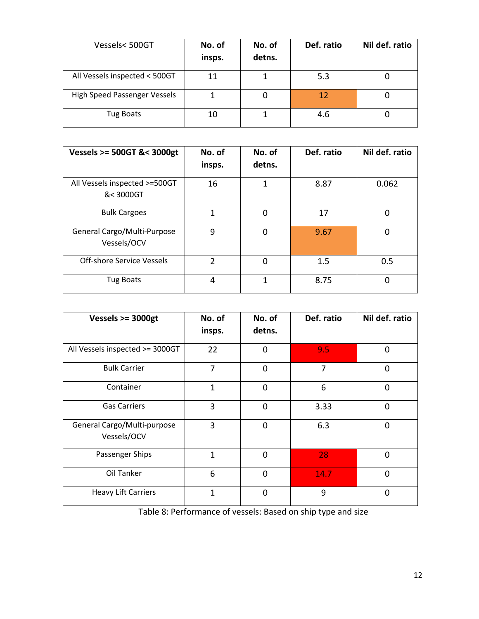| Vessels<500GT                 | No. of<br>insps. | No. of<br>detns. | Def. ratio | Nil def. ratio |
|-------------------------------|------------------|------------------|------------|----------------|
| All Vessels inspected < 500GT | 11               |                  | 5.3        |                |
| High Speed Passenger Vessels  |                  |                  | 12         |                |
| <b>Tug Boats</b>              | 10               |                  | 4.6        |                |

| Vessels >= 500GT &< 3000gt                 | No. of<br>insps. | No. of<br>detns. | Def. ratio | Nil def. ratio |
|--------------------------------------------|------------------|------------------|------------|----------------|
| All Vessels inspected >=500GT<br>&< 3000GT | 16               | 1                | 8.87       | 0.062          |
| <b>Bulk Cargoes</b>                        | 1                | 0                | 17         | 0              |
| General Cargo/Multi-Purpose<br>Vessels/OCV | 9                | 0                | 9.67       | 0              |
| Off-shore Service Vessels                  | 2                | 0                | 1.5        | 0.5            |
| <b>Tug Boats</b>                           | 4                | 1                | 8.75       | 0              |

| Vessels $>=$ 3000gt                        | No. of<br>insps. | No. of<br>detns. | Def. ratio | Nil def. ratio |
|--------------------------------------------|------------------|------------------|------------|----------------|
| All Vessels inspected >= 3000GT            | 22               | 0                | 9.5        | $\Omega$       |
| <b>Bulk Carrier</b>                        | 7                | $\overline{0}$   | 7          | $\Omega$       |
| Container                                  | 1                | 0                | 6          | $\Omega$       |
| <b>Gas Carriers</b>                        | 3                | 0                | 3.33       | $\Omega$       |
| General Cargo/Multi-purpose<br>Vessels/OCV | 3                | 0                | 6.3        | $\Omega$       |
| Passenger Ships                            | 1                | $\mathbf 0$      | 28         | 0              |
| Oil Tanker                                 | 6                | $\mathbf 0$      | 14.7       | $\Omega$       |
| <b>Heavy Lift Carriers</b>                 | $\mathbf{1}$     | 0                | 9          | $\Omega$       |

Table 8: Performance of vessels: Based on ship type and size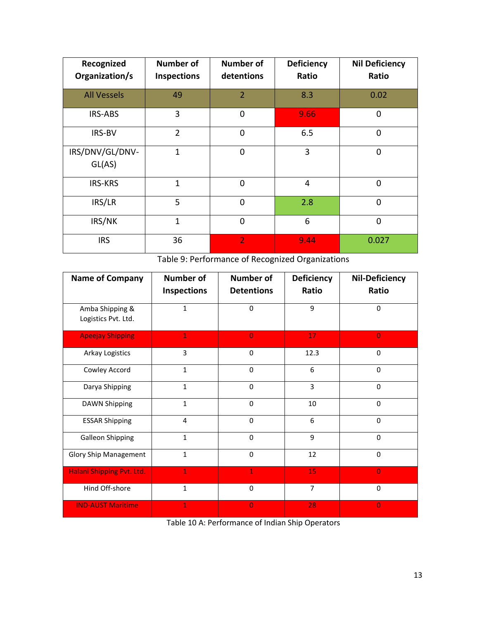| Recognized<br>Organization/s | <b>Number of</b><br>Inspections | <b>Number of</b><br>detentions | <b>Deficiency</b><br>Ratio | <b>Nil Deficiency</b><br>Ratio |
|------------------------------|---------------------------------|--------------------------------|----------------------------|--------------------------------|
| <b>All Vessels</b>           | 49                              | $\overline{2}$                 | 8.3                        | 0.02                           |
| <b>IRS-ABS</b>               | 3                               | $\mathbf 0$                    | 9.66                       | $\mathbf 0$                    |
| IRS-BV                       | $\overline{2}$                  | $\mathbf 0$                    | 6.5                        | $\mathbf 0$                    |
| IRS/DNV/GL/DNV-<br>GL(AS)    | 1                               | $\Omega$                       | 3                          | $\mathbf 0$                    |
| <b>IRS-KRS</b>               | 1                               | $\Omega$                       | $\overline{4}$             | $\mathbf 0$                    |
| IRS/LR                       | 5                               | $\mathbf 0$                    | 2.8                        | $\mathbf 0$                    |
| IRS/NK                       | 1                               | $\mathbf 0$                    | 6                          | $\mathbf 0$                    |
| <b>IRS</b>                   | 36                              | $\overline{2}$                 | 9.44                       | 0.027                          |

Table 9: Performance of Recognized Organizations

| <b>Name of Company</b>                 | <b>Number of</b> | <b>Number of</b>  | <b>Deficiency</b> | <b>Nil-Deficiency</b> |
|----------------------------------------|------------------|-------------------|-------------------|-----------------------|
|                                        | Inspections      | <b>Detentions</b> | Ratio             | Ratio                 |
| Amba Shipping &<br>Logistics Pvt. Ltd. | $\mathbf{1}$     | $\mathbf 0$       | 9                 | 0                     |
| <b>Apeejay Shipping</b>                | 1                | $\overline{0}$    | 17                | $\overline{0}$        |
| Arkay Logistics                        | 3                | $\Omega$          | 12.3              | $\mathbf 0$           |
| Cowley Accord                          | $\mathbf{1}$     | $\Omega$          | 6                 | 0                     |
| Darya Shipping                         | $\mathbf{1}$     | $\Omega$          | 3                 | $\Omega$              |
| <b>DAWN Shipping</b>                   | $\mathbf{1}$     | $\Omega$          | 10                | $\Omega$              |
| <b>ESSAR Shipping</b>                  | $\overline{4}$   | $\Omega$          | 6                 | $\Omega$              |
| <b>Galleon Shipping</b>                | $\mathbf{1}$     | $\Omega$          | 9                 | $\mathbf 0$           |
| <b>Glory Ship Management</b>           | $\mathbf{1}$     | $\Omega$          | 12                | $\mathbf 0$           |
| Halani Shipping Pvt. Ltd.              | $\mathbf{1}$     | $\mathbf{1}$      | 15                | $\overline{0}$        |
| Hind Off-shore                         | $\mathbf{1}$     | $\Omega$          | $\overline{7}$    | $\Omega$              |
| <b>IND-AUST Maritime</b>               |                  | $\overline{0}$    | 28                | $\overline{0}$        |

Table 10 A: Performance of Indian Ship Operators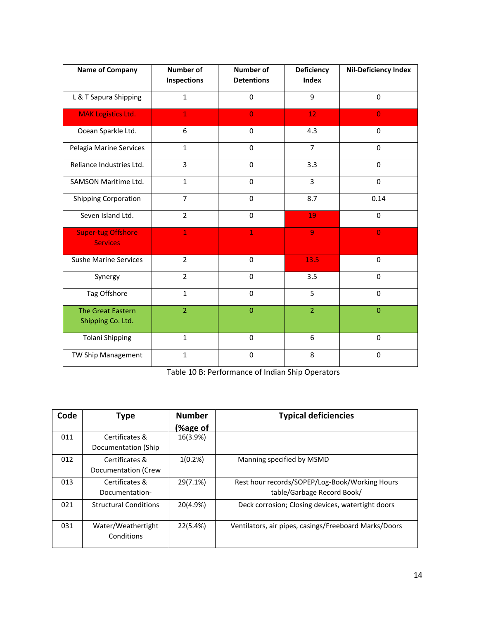| <b>Name of Company</b>                        | <b>Number of</b><br>Inspections | <b>Number of</b><br><b>Detentions</b> | <b>Deficiency</b><br><b>Index</b> | <b>Nil-Deficiency Index</b> |
|-----------------------------------------------|---------------------------------|---------------------------------------|-----------------------------------|-----------------------------|
| L & T Sapura Shipping                         | $\mathbf{1}$                    | $\Omega$                              | 9                                 | $\Omega$                    |
| <b>MAK Logistics Ltd.</b>                     | $\mathbf{1}$                    | $\overline{0}$                        | 12                                | $\overline{0}$              |
| Ocean Sparkle Ltd.                            | 6                               | $\Omega$                              | 4.3                               | $\Omega$                    |
| Pelagia Marine Services                       | $\mathbf{1}$                    | $\Omega$                              | $\overline{7}$                    | $\Omega$                    |
| Reliance Industries Ltd.                      | 3                               | 0                                     | 3.3                               | $\Omega$                    |
| SAMSON Maritime Ltd.                          | $\mathbf{1}$                    | $\Omega$                              | 3                                 | $\Omega$                    |
| <b>Shipping Corporation</b>                   | $\overline{7}$                  | $\mathbf 0$                           | 8.7                               | 0.14                        |
| Seven Island Ltd.                             | $\overline{2}$                  | $\mathbf 0$                           | 19                                | $\mathbf 0$                 |
| <b>Super-tug Offshore</b><br><b>Services</b>  | $\mathbf{1}$                    | $\mathbf{1}$                          | $\overline{9}$                    | $\mathbf 0$                 |
| <b>Sushe Marine Services</b>                  | $\overline{2}$                  | $\Omega$                              | 13.5                              | $\Omega$                    |
| Synergy                                       | $\overline{2}$                  | $\Omega$                              | 3.5                               | $\Omega$                    |
| Tag Offshore                                  | $\mathbf{1}$                    | $\Omega$                              | 5                                 | $\Omega$                    |
| <b>The Great Eastern</b><br>Shipping Co. Ltd. | $\overline{2}$                  | $\Omega$                              | $\overline{2}$                    | $\overline{0}$              |
| <b>Tolani Shipping</b>                        | $\mathbf{1}$                    | $\mathbf 0$                           | 6                                 | $\mathbf 0$                 |
| TW Ship Management                            | $\mathbf{1}$                    | $\mathbf 0$                           | 8                                 | $\mathbf 0$                 |

Table 10 B: Performance of Indian Ship Operators

| Code | Type                             | <b>Number</b>  | <b>Typical deficiencies</b>                           |
|------|----------------------------------|----------------|-------------------------------------------------------|
|      |                                  | <b>%age of</b> |                                                       |
| 011  | Certificates &                   | 16(3.9%)       |                                                       |
|      | Documentation (Ship              |                |                                                       |
| 012  | Certificates &                   | $1(0.2\%)$     | Manning specified by MSMD                             |
|      | Documentation (Crew              |                |                                                       |
| 013  | Certificates &                   | 29(7.1%)       | Rest hour records/SOPEP/Log-Book/Working Hours        |
|      | Documentation-                   |                | table/Garbage Record Book/                            |
| 021  | <b>Structural Conditions</b>     | 20(4.9%)       | Deck corrosion; Closing devices, watertight doors     |
| 031  | Water/Weathertight<br>Conditions | 22(5.4%)       | Ventilators, air pipes, casings/Freeboard Marks/Doors |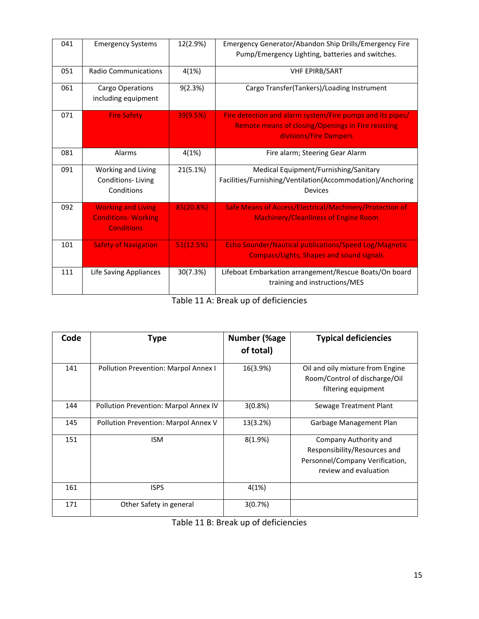| 041 | <b>Emergency Systems</b>                                                     | 12(2.9%)  | Emergency Generator/Abandon Ship Drills/Emergency Fire<br>Pump/Emergency Lighting, batteries and switches.                                       |
|-----|------------------------------------------------------------------------------|-----------|--------------------------------------------------------------------------------------------------------------------------------------------------|
| 051 | <b>Radio Communications</b>                                                  | 4(1%)     | <b>VHF EPIRB/SART</b>                                                                                                                            |
| 061 | Cargo Operations<br>including equipment                                      | 9(2.3%)   | Cargo Transfer(Tankers)/Loading Instrument                                                                                                       |
| 071 | <b>Fire Safety</b>                                                           | 39(9.5%)  | Fire detection and alarm system/Fire pumps and its pipes/<br><b>Remote means of closing/Openings in Fire resisting</b><br>divisions/Fire Dampers |
| 081 | Alarms                                                                       | 4(1%)     | Fire alarm; Steering Gear Alarm                                                                                                                  |
| 091 | Working and Living<br>Conditions-Living<br>Conditions                        | 21(5.1%)  | Medical Equipment/Furnishing/Sanitary<br>Facilities/Furnishing/Ventilation(Accommodation)/Anchoring<br>Devices                                   |
| 092 | <b>Working and Living</b><br><b>Conditions- Working</b><br><b>Conditions</b> | 85(20.8%) | Safe Means of Access/Electrical/Machinery/Protection of<br><b>Machinery/Cleanliness of Engine Room</b>                                           |
| 101 | <b>Safety of Navigation</b>                                                  | 51(12.5%) | Echo Sounder/Nautical publications/Speed Log/Magnetic<br><b>Compass/Lights, Shapes and sound signals</b>                                         |
| 111 | Life Saving Appliances                                                       | 30(7.3%)  | Lifeboat Embarkation arrangement/Rescue Boats/On board<br>training and instructions/MES                                                          |

Table 11 A: Break up of deficiencies

| Code | Type                                  | <b>Number (%age</b><br>of total) | <b>Typical deficiencies</b>                                                                                       |
|------|---------------------------------------|----------------------------------|-------------------------------------------------------------------------------------------------------------------|
| 141  | Pollution Prevention: Marpol Annex I  | 16(3.9%)                         | Oil and oily mixture from Engine<br>Room/Control of discharge/Oil<br>filtering equipment                          |
| 144  | Pollution Prevention: Marpol Annex IV | 3(0.8%)                          | Sewage Treatment Plant                                                                                            |
| 145  | Pollution Prevention: Marpol Annex V  | 13(3.2%)                         | Garbage Management Plan                                                                                           |
| 151  | <b>ISM</b>                            | $8(1.9\%)$                       | Company Authority and<br>Responsibility/Resources and<br>Personnel/Company Verification,<br>review and evaluation |
| 161  | <b>ISPS</b>                           | 4(1%)                            |                                                                                                                   |
| 171  | Other Safety in general               | 3(0.7%)                          |                                                                                                                   |

Table 11 B: Break up of deficiencies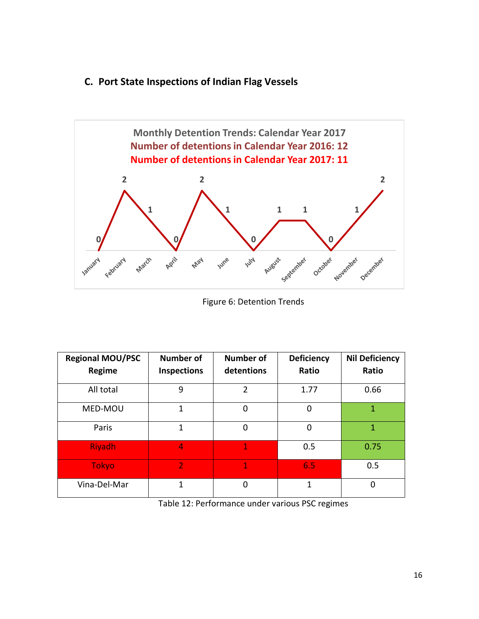#### **C. Port State Inspections of Indian Flag Vessels**



Figure 6: Detention Trends

| <b>Regional MOU/PSC</b><br>Regime | <b>Number of</b><br><b>Inspections</b> | <b>Number of</b><br>detentions | <b>Deficiency</b><br>Ratio | <b>Nil Deficiency</b><br>Ratio |
|-----------------------------------|----------------------------------------|--------------------------------|----------------------------|--------------------------------|
| All total                         | 9                                      | 2                              | 1.77                       | 0.66                           |
| MED-MOU                           | 1                                      | 0                              | 0                          | 1                              |
| Paris                             | 1                                      | 0                              | 0                          | 1                              |
| Riyadh                            | 4                                      | $\overline{1}$                 | 0.5                        | 0.75                           |
| <b>Tokyo</b>                      | $\overline{2}$                         | 1                              | 6.5                        | 0.5                            |
| Vina-Del-Mar                      | 1                                      | 0                              | 1                          | $\mathbf 0$                    |

Table 12: Performance under various PSC regimes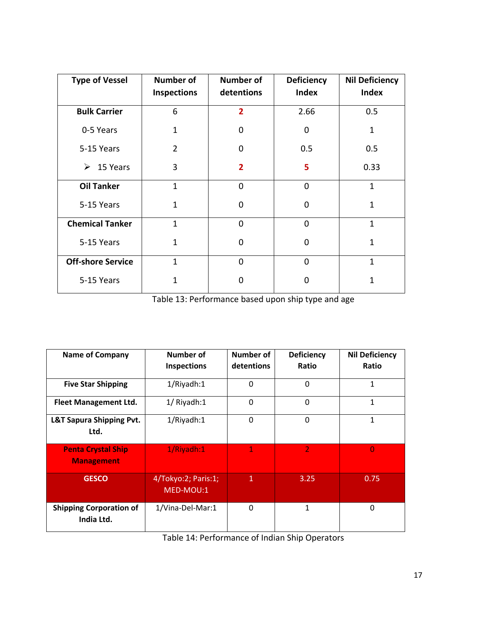| <b>Type of Vessel</b>    | <b>Number of</b><br><b>Inspections</b> | <b>Number of</b><br>detentions | <b>Deficiency</b><br><b>Index</b> | <b>Nil Deficiency</b><br><b>Index</b> |
|--------------------------|----------------------------------------|--------------------------------|-----------------------------------|---------------------------------------|
| <b>Bulk Carrier</b>      | 6                                      | $\overline{2}$                 | 2.66                              | 0.5                                   |
| 0-5 Years                | $\mathbf{1}$                           | 0                              | 0                                 | $\mathbf{1}$                          |
| 5-15 Years               | $\overline{2}$                         | 0                              | 0.5                               | 0.5                                   |
| 15 Years<br>➤            | 3                                      | $\overline{2}$                 | 5                                 | 0.33                                  |
| <b>Oil Tanker</b>        | $\mathbf{1}$                           | $\mathbf{0}$                   | $\Omega$                          | $\mathbf{1}$                          |
| 5-15 Years               | $\mathbf{1}$                           | 0                              | 0                                 | $\mathbf{1}$                          |
| <b>Chemical Tanker</b>   | $\mathbf{1}$                           | $\mathbf 0$                    | 0                                 | $\mathbf{1}$                          |
| 5-15 Years               | $\mathbf{1}$                           | 0                              | 0                                 | $\mathbf{1}$                          |
| <b>Off-shore Service</b> | $\mathbf{1}$                           | $\mathbf{0}$                   | $\mathbf 0$                       | $\mathbf{1}$                          |
| 5-15 Years               | 1                                      | ŋ                              | n                                 | 1                                     |

Table 13: Performance based upon ship type and age

| <b>Name of Company</b>                         | Number of<br><b>Inspections</b>  | Number of<br>detentions | <b>Deficiency</b><br>Ratio | <b>Nil Deficiency</b><br>Ratio |
|------------------------------------------------|----------------------------------|-------------------------|----------------------------|--------------------------------|
| <b>Five Star Shipping</b>                      | 1/Riyadh:1                       | 0                       | 0                          | 1                              |
| <b>Fleet Management Ltd.</b>                   | 1/ Riyadh:1                      | $\mathbf{0}$            | 0                          | 1                              |
| L&T Sapura Shipping Pvt.<br>Ltd.               | 1/Riyadh:1                       | 0                       | $\mathbf 0$                | 1                              |
| <b>Penta Crystal Ship</b><br><b>Management</b> | 1/Riyadh:1                       | $\mathbf 1$             | $\overline{2}$             | 0                              |
| <b>GESCO</b>                                   | 4/Tokyo:2; Paris:1;<br>MED-MOU:1 | 1                       | 3.25                       | 0.75                           |
| <b>Shipping Corporation of</b><br>India Ltd.   | 1/Vina-Del-Mar:1                 | 0                       | 1                          | 0                              |

Table 14: Performance of Indian Ship Operators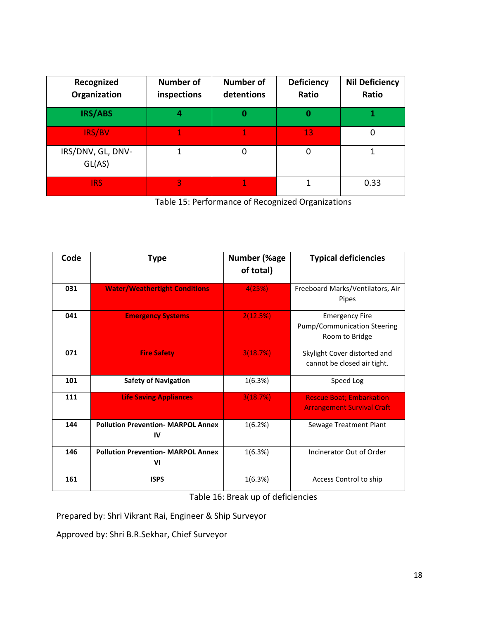| Recognized<br>Organization  | <b>Number of</b><br>inspections | <b>Number of</b><br>detentions | <b>Deficiency</b><br>Ratio | <b>Nil Deficiency</b><br>Ratio |
|-----------------------------|---------------------------------|--------------------------------|----------------------------|--------------------------------|
| IRS/ABS                     | 4                               |                                | 0                          |                                |
| IRS/BV                      | 1                               |                                | 13                         | 0                              |
| IRS/DNV, GL, DNV-<br>GL(AS) |                                 | 0                              | 0                          |                                |
| <b>IRS</b>                  | 3                               |                                |                            | 0.33                           |

Table 15: Performance of Recognized Organizations

| Code | <b>Type</b>                                     | Number (%age<br>of total) | <b>Typical deficiencies</b>                                            |
|------|-------------------------------------------------|---------------------------|------------------------------------------------------------------------|
| 031  | <b>Water/Weathertight Conditions</b>            | 4(25%)                    | Freeboard Marks/Ventilators, Air<br>Pipes                              |
| 041  | <b>Emergency Systems</b>                        | 2(12.5%)                  | <b>Emergency Fire</b><br>Pump/Communication Steering<br>Room to Bridge |
| 071  | <b>Fire Safety</b>                              | 3(18.7%)                  | Skylight Cover distorted and<br>cannot be closed air tight.            |
| 101  | <b>Safety of Navigation</b>                     | 1(6.3%)                   | Speed Log                                                              |
| 111  | <b>Life Saving Appliances</b>                   | 3(18.7%)                  | <b>Rescue Boat; Embarkation</b><br><b>Arrangement Survival Craft</b>   |
| 144  | <b>Pollution Prevention- MARPOL Annex</b><br>IV | 1(6.2%)                   | Sewage Treatment Plant                                                 |
| 146  | <b>Pollution Prevention- MARPOL Annex</b><br>VI | 1(6.3%)                   | Incinerator Out of Order                                               |
| 161  | <b>ISPS</b>                                     | 1(6.3%)                   | Access Control to ship                                                 |

Table 16: Break up of deficiencies

Prepared by: Shri Vikrant Rai, Engineer & Ship Surveyor

Approved by: Shri B.R.Sekhar, Chief Surveyor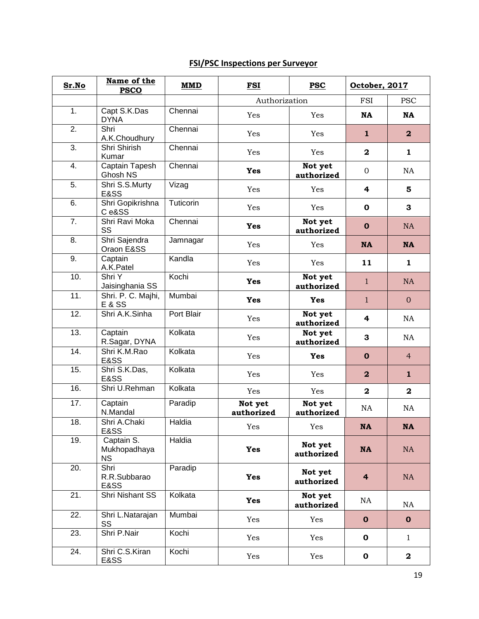### **FSI/PSC Inspections per Surveyor**

| Sr.No             | Name of the<br><b>PSCO</b>              | <b>MMD</b> | <b>FSI</b>            | <b>PSC</b>            | October, 2017           |                  |
|-------------------|-----------------------------------------|------------|-----------------------|-----------------------|-------------------------|------------------|
|                   |                                         |            | Authorization         |                       | <b>FSI</b>              | <b>PSC</b>       |
| 1.                | Capt S.K.Das<br><b>DYNA</b>             | Chennai    | Yes                   | Yes                   | <b>NA</b>               | <b>NA</b>        |
| 2.                | Shri<br>A.K.Choudhury                   | Chennai    | Yes                   | Yes                   | $\mathbf{1}$            | $\boldsymbol{2}$ |
| 3.                | Shri Shirish<br>Kumar                   | Chennai    | Yes                   | Yes                   | $\mathbf 2$             | $\mathbf{1}$     |
| 4.                | <b>Captain Tapesh</b><br>Ghosh NS       | Chennai    | <b>Yes</b>            | Not yet<br>authorized | $\mathbf{0}$            | <b>NA</b>        |
| 5.                | Shri S.S.Murty<br>E&SS                  | Vizag      | Yes                   | Yes                   | 4                       | 5                |
| 6.                | Shri Gopikrishna<br>Ce&SS               | Tuticorin  | Yes                   | Yes                   | $\mathbf 0$             | 3                |
| 7.                | Shri Ravi Moka<br>SS                    | Chennai    | Yes                   | Not yet<br>authorized | $\mathbf 0$             | NA               |
| 8.                | Shri Sajendra<br>Oraon E&SS             | Jamnagar   | Yes                   | Yes                   | <b>NA</b>               | <b>NA</b>        |
| 9.                | Captain<br>A.K.Patel                    | Kandla     | Yes                   | Yes                   | 11                      | $\mathbf{1}$     |
| 10.               | Shri Y<br>Jaisinghania SS               | Kochi      | Yes                   | Not yet<br>authorized | $\mathbf{1}$            | NA               |
| 11.               | Shri. P. C. Majhi,<br><b>E &amp; SS</b> | Mumbai     | Yes                   | <b>Yes</b>            | $\mathbf{1}$            | $\overline{0}$   |
| 12.               | Shri A.K.Sinha                          | Port Blair | Yes                   | Not yet<br>authorized | 4                       | NA               |
| 13.               | Captain<br>R.Sagar, DYNA                | Kolkata    | Yes                   | Not yet<br>authorized | 3                       | NA               |
| 14.               | Shri K.M.Rao<br>E&SS                    | Kolkata    | Yes                   | <b>Yes</b>            | $\mathbf 0$             | $\overline{4}$   |
| $\overline{15}$ . | Shri S.K.Das,<br>E&SS                   | Kolkata    | Yes                   | Yes                   | $\mathbf{2}$            | $\mathbf{1}$     |
| 16.               | Shri U.Rehman                           | Kolkata    | Yes                   | Yes                   | $\overline{\mathbf{2}}$ | $\mathbf{2}$     |
| 17.               | Captain<br>N.Mandal                     | Paradip    | Not yet<br>authorized | Not yet<br>authorized | NA                      | NA               |
| 18.               | Shri A.Chaki<br>E&SS                    | Haldia     | Yes                   | Yes                   | NA                      | <b>NA</b>        |
| 19.               | Captain S.<br>Mukhopadhaya<br><b>NS</b> | Haldia     | <b>Yes</b>            | Not yet<br>authorized | <b>NA</b>               | NA               |
| $\overline{20}$ . | Shri<br>R.R.Subbarao<br><b>E&amp;SS</b> | Paradip    | Yes                   | Not yet<br>authorized | $\overline{\mathbf{4}}$ | NA               |
| 21.               | Shri Nishant SS                         | Kolkata    | Yes                   | Not yet<br>authorized | NA                      | NA               |
| 22.               | Shri L.Natarajan<br>SS                  | Mumbai     | Yes                   | Yes                   | $\mathbf 0$             | $\mathbf 0$      |
| 23.               | Shri P.Nair                             | Kochi      | Yes                   | Yes                   | $\mathbf 0$             | $\mathbf{1}$     |
| $\overline{24}$ . | Shri C.S.Kiran<br>E&SS                  | Kochi      | Yes                   | Yes                   | $\mathbf 0$             | $\mathbf{2}$     |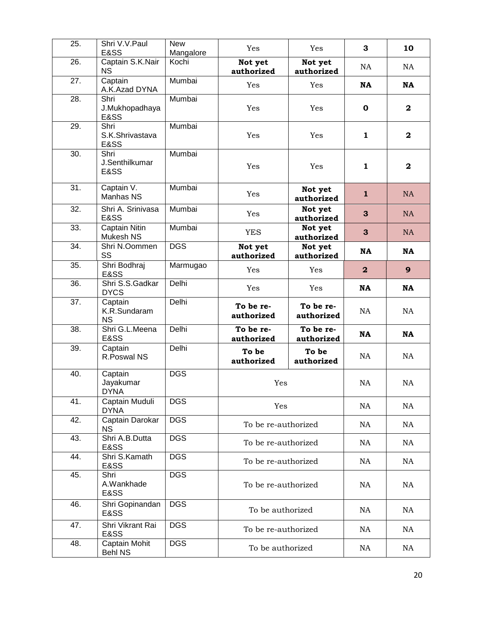| 25.               | Shri V.V.Paul<br>E&SS                | <b>New</b><br>Mangalore | Yes                     | Yes                     | 3                       | 10           |
|-------------------|--------------------------------------|-------------------------|-------------------------|-------------------------|-------------------------|--------------|
| 26.               | Captain S.K.Nair<br><b>NS</b>        | Kochi                   | Not yet<br>authorized   | Not yet<br>authorized   | NA                      | NA           |
| 27.               | Captain<br>A.K.Azad DYNA             | Mumbai                  | Yes                     | Yes                     | <b>NA</b>               | <b>NA</b>    |
| $\overline{28}$ . | Shri<br>J.Mukhopadhaya<br>E&SS       | Mumbai                  | Yes                     | Yes                     | $\mathbf 0$             | $\mathbf{2}$ |
| 29.               | Shri<br>S.K.Shrivastava<br>E&SS      | Mumbai                  | Yes                     | Yes                     | 1                       | $\mathbf{2}$ |
| 30.               | Shri<br>J.Senthilkumar<br>E&SS       | Mumbai                  | Yes                     | Yes                     | 1                       | $\mathbf{2}$ |
| 31.               | Captain V.<br>Manhas NS              | Mumbai                  | Yes                     | Not yet<br>authorized   | $\mathbf{1}$            | <b>NA</b>    |
| 32.               | Shri A. Srinivasa<br>E&SS            | Mumbai                  | Yes                     | Not yet<br>authorized   | 3                       | <b>NA</b>    |
| 33.               | Captain Nitin<br>Mukesh NS           | Mumbai                  | <b>YES</b>              | Not yet<br>authorized   | 3                       | <b>NA</b>    |
| 34.               | Shri N.Oommen<br>SS                  | <b>DGS</b>              | Not yet<br>authorized   | Not yet<br>authorized   | <b>NA</b>               | <b>NA</b>    |
| 35.               | Shri Bodhraj<br>E&SS                 | Marmugao                | Yes                     | Yes                     | $\overline{\mathbf{2}}$ | $\mathbf{9}$ |
| 36.               | Shri S.S.Gadkar<br><b>DYCS</b>       | Delhi                   | Yes                     | Yes                     | <b>NA</b>               | <b>NA</b>    |
| 37.               | Captain<br>K.R.Sundaram<br><b>NS</b> | Delhi                   | To be re-<br>authorized | To be re-<br>authorized | <b>NA</b>               | <b>NA</b>    |
| 38.               | Shri G.L.Meena<br>E&SS               | Delhi                   | To be re-<br>authorized | To be re-<br>authorized | <b>NA</b>               | <b>NA</b>    |
| 39.               | Captain<br>R.Poswal NS               | Delhi                   | To be<br>authorized     | To be<br>authorized     | NA                      | NA           |
| 40.               | Captain<br>Jayakumar<br><b>DYNA</b>  | <b>DGS</b>              | Yes                     |                         | NA                      | NA           |
| 41.               | Captain Muduli<br><b>DYNA</b>        | <b>DGS</b>              | Yes                     |                         | NA                      | <b>NA</b>    |
| 42.               | Captain Darokar<br><b>NS</b>         | <b>DGS</b>              | To be re-authorized     |                         | NA                      | NA           |
| 43.               | Shri A.B.Dutta<br>E&SS               | <b>DGS</b>              | To be re-authorized     |                         | NA                      | NA           |
| 44.               | Shri S.Kamath<br>E&SS                | <b>DGS</b>              | To be re-authorized     |                         | NA                      | NA           |
| 45.               | Shri<br>A.Wankhade<br>E&SS           | <b>DGS</b>              | To be re-authorized     |                         | NA                      | NA           |
| 46.               | Shri Gopinandan<br>E&SS              | <b>DGS</b>              | To be authorized        |                         | NA                      | <b>NA</b>    |
| 47.               | Shri Vikrant Rai<br>E&SS             | <b>DGS</b>              | To be re-authorized     |                         | NA                      | NA           |
| 48.               | Captain Mohit<br><b>Behl NS</b>      | <b>DGS</b>              | To be authorized        |                         | NA                      | NA           |